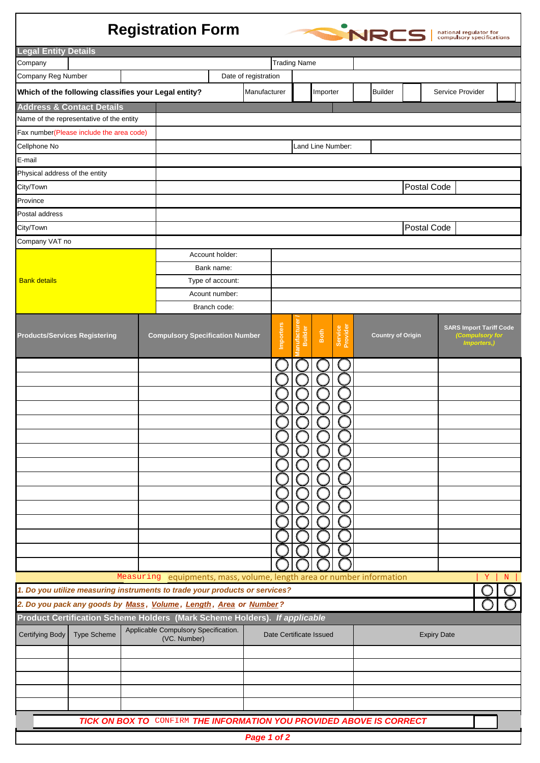## **Registration Form**



| <b>Legal Entity Details</b>                                                                                                                                                |                     |                      |                                                                             |                         |             |                  |                              |      |                     |  |                          |  |  |                                                                  |   |
|----------------------------------------------------------------------------------------------------------------------------------------------------------------------------|---------------------|----------------------|-----------------------------------------------------------------------------|-------------------------|-------------|------------------|------------------------------|------|---------------------|--|--------------------------|--|--|------------------------------------------------------------------|---|
| Company                                                                                                                                                                    | <b>Trading Name</b> |                      |                                                                             |                         |             |                  |                              |      |                     |  |                          |  |  |                                                                  |   |
| Company Reg Number                                                                                                                                                         |                     | Date of registration |                                                                             |                         |             |                  |                              |      |                     |  |                          |  |  |                                                                  |   |
| Which of the following classifies your Legal entity?                                                                                                                       |                     |                      | Manufacturer                                                                |                         |             |                  | Importer                     |      | <b>Builder</b>      |  | Service Provider         |  |  |                                                                  |   |
| <b>Address &amp; Contact Details</b>                                                                                                                                       |                     |                      |                                                                             |                         |             |                  |                              |      |                     |  |                          |  |  |                                                                  |   |
| Name of the representative of the entity                                                                                                                                   |                     |                      |                                                                             |                         |             |                  |                              |      |                     |  |                          |  |  |                                                                  |   |
| Fax number(Please include the area code)                                                                                                                                   |                     |                      |                                                                             |                         |             |                  |                              |      |                     |  |                          |  |  |                                                                  |   |
| Cellphone No                                                                                                                                                               |                     |                      | Land Line Number:                                                           |                         |             |                  |                              |      |                     |  |                          |  |  |                                                                  |   |
| E-mail                                                                                                                                                                     |                     |                      |                                                                             |                         |             |                  |                              |      |                     |  |                          |  |  |                                                                  |   |
| Physical address of the entity                                                                                                                                             |                     |                      |                                                                             |                         |             |                  |                              |      |                     |  |                          |  |  |                                                                  |   |
| City/Town                                                                                                                                                                  |                     | Postal Code          |                                                                             |                         |             |                  |                              |      |                     |  |                          |  |  |                                                                  |   |
| Province                                                                                                                                                                   |                     |                      |                                                                             |                         |             |                  |                              |      |                     |  |                          |  |  |                                                                  |   |
| Postal address                                                                                                                                                             |                     |                      |                                                                             |                         |             |                  |                              |      |                     |  |                          |  |  |                                                                  |   |
| City/Town                                                                                                                                                                  |                     |                      | Postal Code                                                                 |                         |             |                  |                              |      |                     |  |                          |  |  |                                                                  |   |
| Company VAT no                                                                                                                                                             |                     |                      |                                                                             |                         |             |                  |                              |      |                     |  |                          |  |  |                                                                  |   |
|                                                                                                                                                                            |                     |                      | Account holder:                                                             |                         |             |                  |                              |      |                     |  |                          |  |  |                                                                  |   |
|                                                                                                                                                                            |                     |                      | Bank name:                                                                  |                         |             |                  |                              |      |                     |  |                          |  |  |                                                                  |   |
| <b>Bank details</b>                                                                                                                                                        |                     |                      | Type of account:                                                            |                         |             |                  |                              |      |                     |  |                          |  |  |                                                                  |   |
|                                                                                                                                                                            |                     |                      | Acount number:                                                              |                         |             |                  |                              |      |                     |  |                          |  |  |                                                                  |   |
|                                                                                                                                                                            |                     |                      | Branch code:                                                                |                         |             |                  |                              |      |                     |  |                          |  |  |                                                                  |   |
| <b>Products/Services Registering</b>                                                                                                                                       |                     |                      | <b>Compulsory Specification Number</b>                                      |                         |             | <b>Importers</b> | <b>urfacturer</b><br>Builder | Both | Service<br>Provider |  | <b>Country of Origin</b> |  |  | <b>SARS Import Tariff Code</b><br>(Compulsory for<br>Importers,) |   |
|                                                                                                                                                                            |                     |                      |                                                                             |                         |             |                  |                              |      |                     |  |                          |  |  |                                                                  |   |
|                                                                                                                                                                            |                     |                      |                                                                             |                         |             |                  |                              |      |                     |  |                          |  |  |                                                                  |   |
|                                                                                                                                                                            |                     |                      | Measuring equipments, mass, volume, length area or number information       |                         |             |                  |                              |      |                     |  |                          |  |  | Υ                                                                | N |
|                                                                                                                                                                            |                     |                      | 1. Do you utilize measuring instruments to trade your products or services? |                         |             |                  |                              |      |                     |  |                          |  |  |                                                                  |   |
|                                                                                                                                                                            |                     |                      | 2. Do you pack any goods by Mass, Volume, Length, Area or Number?           |                         |             |                  |                              |      |                     |  |                          |  |  |                                                                  |   |
| Product Certification Scheme Holders (Mark Scheme Holders). If applicable<br>Applicable Compulsory Specification.<br><b>Type Scheme</b><br>Certifying Body<br>(VC. Number) |                     |                      |                                                                             | Date Certificate Issued |             |                  |                              |      | <b>Expiry Date</b>  |  |                          |  |  |                                                                  |   |
|                                                                                                                                                                            |                     |                      |                                                                             |                         |             |                  |                              |      |                     |  |                          |  |  |                                                                  |   |
|                                                                                                                                                                            |                     |                      |                                                                             |                         |             |                  |                              |      |                     |  |                          |  |  |                                                                  |   |
|                                                                                                                                                                            |                     |                      |                                                                             |                         |             |                  |                              |      |                     |  |                          |  |  |                                                                  |   |
|                                                                                                                                                                            |                     |                      |                                                                             |                         |             |                  |                              |      |                     |  |                          |  |  |                                                                  |   |
|                                                                                                                                                                            |                     |                      | TICK ON BOX TO CONFIRM THE INFORMATION YOU PROVIDED ABOVE IS CORRECT        |                         |             |                  |                              |      |                     |  |                          |  |  |                                                                  |   |
|                                                                                                                                                                            |                     |                      |                                                                             |                         | Page 1 of 2 |                  |                              |      |                     |  |                          |  |  |                                                                  |   |